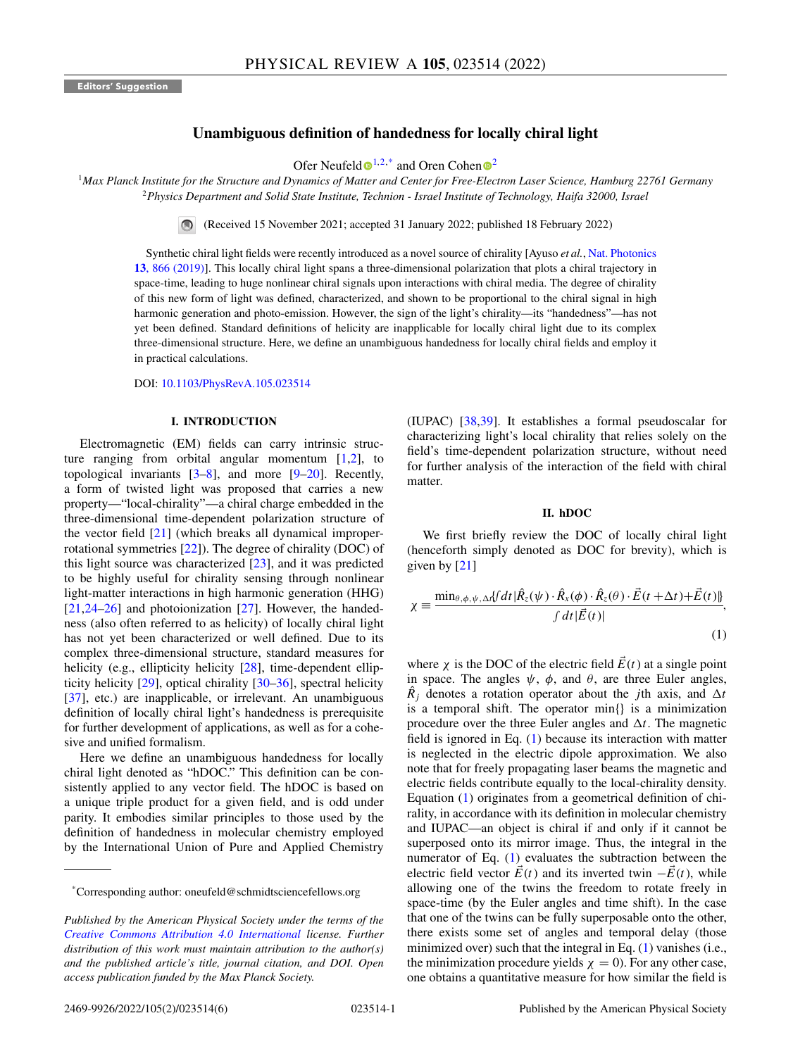# **Unambiguous definition of handedness for locally chiral light**

Ofer Neufeld  $\mathbf{D}^{1,2,*}$  $\mathbf{D}^{1,2,*}$  $\mathbf{D}^{1,2,*}$  $\mathbf{D}^{1,2,*}$  $\mathbf{D}^{1,2,*}$  and Oren Cohen  $\mathbf{D}^2$ 

<span id="page-0-0"></span><sup>1</sup>*Max Planck Institute for the Structure and Dynamics of Matter and Center for Free-Electron Laser Science, Hamburg 22761 Germany* <sup>2</sup>*Physics Department and Solid State Institute, Technion - Israel Institute of Technology, Haifa 32000, Israel*

(Received 15 November 2021; accepted 31 January 2022; published 18 February 2022)

Synthetic chiral light fields were recently introduced as a novel source of chirality [Ayuso *et al.*, Nat. Photonics **13**[, 866 \(2019\)\]. This locally chiral light spans a three-dimensional polarization that plots a chiral trajectory in](https://doi.org/10.1038/s41566-019-0531-2) space-time, leading to huge nonlinear chiral signals upon interactions with chiral media. The degree of chirality of this new form of light was defined, characterized, and shown to be proportional to the chiral signal in high harmonic generation and photo-emission. However, the sign of the light's chirality—its "handedness"—has not yet been defined. Standard definitions of helicity are inapplicable for locally chiral light due to its complex three-dimensional structure. Here, we define an unambiguous handedness for locally chiral fields and employ it in practical calculations.

DOI: [10.1103/PhysRevA.105.023514](https://doi.org/10.1103/PhysRevA.105.023514)

#### **I. INTRODUCTION**

Electromagnetic (EM) fields can carry intrinsic structure ranging from orbital angular momentum  $[1,2]$ , to topological invariants  $[3-8]$ , and more  $[9-20]$  $[9-20]$ . Recently, a form of twisted light was proposed that carries a new property—"local-chirality"—a chiral charge embedded in the three-dimensional time-dependent polarization structure of the vector field [\[21\]](#page-5-0) (which breaks all dynamical improperrotational symmetries [\[22\]](#page-5-0)). The degree of chirality (DOC) of this light source was characterized  $[23]$ , and it was predicted to be highly useful for chirality sensing through nonlinear light-matter interactions in high harmonic generation (HHG) [\[21,24–26\]](#page-5-0) and photoionization [\[27\]](#page-5-0). However, the handedness (also often referred to as helicity) of locally chiral light has not yet been characterized or well defined. Due to its complex three-dimensional structure, standard measures for helicity (e.g., ellipticity helicity [\[28\]](#page-5-0), time-dependent ellipticity helicity [\[29\]](#page-5-0), optical chirality [\[30–36\]](#page-5-0), spectral helicity [\[37\]](#page-5-0), etc.) are inapplicable, or irrelevant. An unambiguous definition of locally chiral light's handedness is prerequisite for further development of applications, as well as for a cohesive and unified formalism.

Here we define an unambiguous handedness for locally chiral light denoted as "hDOC." This definition can be consistently applied to any vector field. The hDOC is based on a unique triple product for a given field, and is odd under parity. It embodies similar principles to those used by the definition of handedness in molecular chemistry employed by the International Union of Pure and Applied Chemistry

(IUPAC) [\[38,39\]](#page-5-0). It establishes a formal pseudoscalar for characterizing light's local chirality that relies solely on the field's time-dependent polarization structure, without need for further analysis of the interaction of the field with chiral matter.

#### **II. hDOC**

We first briefly review the DOC of locally chiral light (henceforth simply denoted as DOC for brevity), which is given by [\[21\]](#page-5-0)

$$
\chi = \frac{\min_{\theta, \phi, \psi, \Delta t} \{ f dt | \hat{R}_z(\psi) \cdot \hat{R}_x(\phi) \cdot \hat{R}_z(\theta) \cdot \vec{E}(t + \Delta t) + \vec{E}(t) \|}{\int dt | \vec{E}(t) |},\tag{1}
$$

where  $\chi$  is the DOC of the electric field  $\vec{E}(t)$  at a single point in space. The angles  $\psi$ ,  $\phi$ , and  $\theta$ , are three Euler angles,  $\hat{R}_i$  denotes a rotation operator about the *j*th axis, and  $\Delta t$ is a temporal shift. The operator min{} is a minimization procedure over the three Euler angles and  $\Delta t$ . The magnetic field is ignored in Eq. (1) because its interaction with matter is neglected in the electric dipole approximation. We also note that for freely propagating laser beams the magnetic and electric fields contribute equally to the local-chirality density. Equation (1) originates from a geometrical definition of chirality, in accordance with its definition in molecular chemistry and IUPAC—an object is chiral if and only if it cannot be superposed onto its mirror image. Thus, the integral in the numerator of Eq. (1) evaluates the subtraction between the electric field vector  $\vec{E}(t)$  and its inverted twin  $-\vec{E}(t)$ , while allowing one of the twins the freedom to rotate freely in space-time (by the Euler angles and time shift). In the case that one of the twins can be fully superposable onto the other, there exists some set of angles and temporal delay (those minimized over) such that the integral in Eq. (1) vanishes (i.e., the minimization procedure yields  $\chi = 0$ ). For any other case, one obtains a quantitative measure for how similar the field is

<sup>\*</sup>Corresponding author: oneufeld@schmidtsciencefellows.org

*Published by the American Physical Society under the terms of the [Creative Commons Attribution 4.0 International](https://creativecommons.org/licenses/by/4.0/) license. Further distribution of this work must maintain attribution to the author(s) and the published article's title, journal citation, and DOI. Open access publication funded by the Max Planck Society.*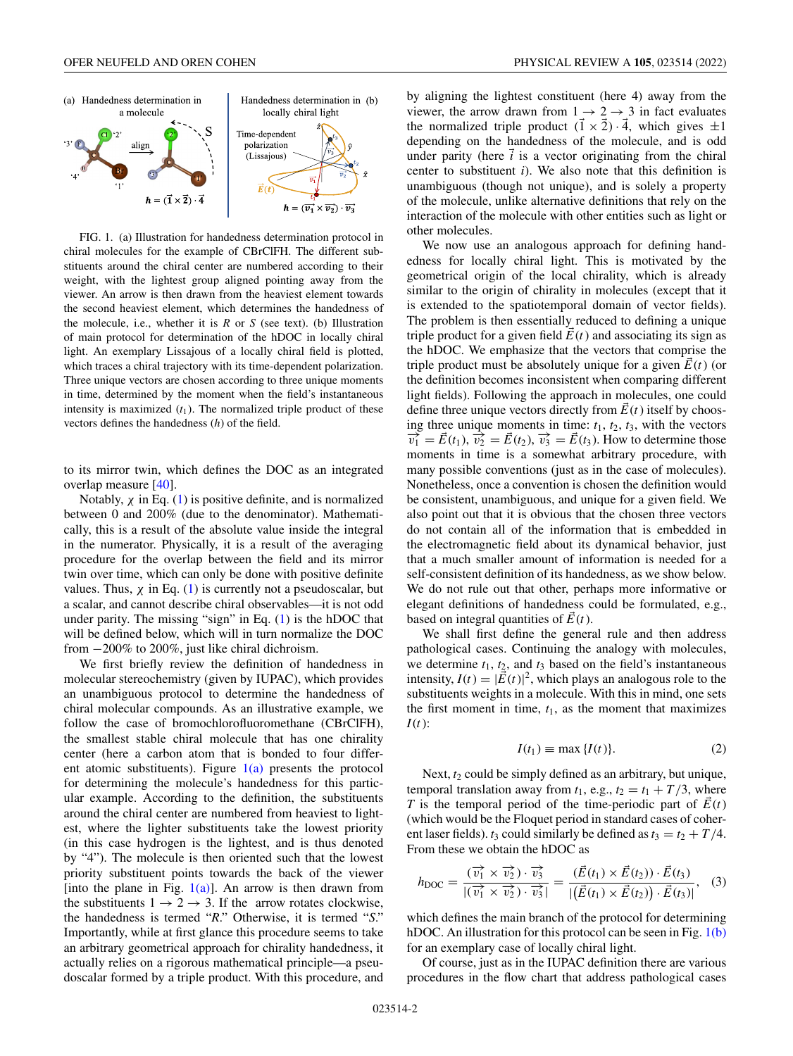

FIG. 1. (a) Illustration for handedness determination protocol in chiral molecules for the example of CBrClFH. The different substituents around the chiral center are numbered according to their weight, with the lightest group aligned pointing away from the viewer. An arrow is then drawn from the heaviest element towards the second heaviest element, which determines the handedness of the molecule, i.e., whether it is *R* or *S* (see text). (b) Illustration of main protocol for determination of the hDOC in locally chiral light. An exemplary Lissajous of a locally chiral field is plotted, which traces a chiral trajectory with its time-dependent polarization. Three unique vectors are chosen according to three unique moments in time, determined by the moment when the field's instantaneous intensity is maximized  $(t_1)$ . The normalized triple product of these vectors defines the handedness (*h*) of the field.

to its mirror twin, which defines the DOC as an integrated overlap measure [\[40\]](#page-5-0).

Notably,  $\chi$  in Eq. [\(1\)](#page-0-0) is positive definite, and is normalized between 0 and 200% (due to the denominator). Mathematically, this is a result of the absolute value inside the integral in the numerator. Physically, it is a result of the averaging procedure for the overlap between the field and its mirror twin over time, which can only be done with positive definite values. Thus,  $\chi$  in Eq. [\(1\)](#page-0-0) is currently not a pseudoscalar, but a scalar, and cannot describe chiral observables—it is not odd under parity. The missing "sign" in Eq. [\(1\)](#page-0-0) is the hDOC that will be defined below, which will in turn normalize the DOC from −200% to 200%, just like chiral dichroism.

We first briefly review the definition of handedness in molecular stereochemistry (given by IUPAC), which provides an unambiguous protocol to determine the handedness of chiral molecular compounds. As an illustrative example, we follow the case of bromochlorofluoromethane (CBrClFH), the smallest stable chiral molecule that has one chirality center (here a carbon atom that is bonded to four different atomic substituents). Figure  $1(a)$  presents the protocol for determining the molecule's handedness for this particular example. According to the definition, the substituents around the chiral center are numbered from heaviest to lightest, where the lighter substituents take the lowest priority (in this case hydrogen is the lightest, and is thus denoted by "4"). The molecule is then oriented such that the lowest priority substituent points towards the back of the viewer [into the plane in Fig.  $1(a)$ ]. An arrow is then drawn from the substituents  $1 \rightarrow 2 \rightarrow 3$ . If the arrow rotates clockwise, the handedness is termed "*R*." Otherwise, it is termed "*S*." Importantly, while at first glance this procedure seems to take an arbitrary geometrical approach for chirality handedness, it actually relies on a rigorous mathematical principle—a pseudoscalar formed by a triple product. With this procedure, and by aligning the lightest constituent (here 4) away from the viewer, the arrow drawn from  $1 \rightarrow 2 \rightarrow 3$  in fact evaluates the normalized triple product  $(\vec{1} \times \vec{2}) \cdot \vec{4}$ , which gives  $\pm 1$ depending on the handedness of the molecule, and is odd under parity (here  $\vec{i}$  is a vector originating from the chiral center to substituent *i*). We also note that this definition is unambiguous (though not unique), and is solely a property of the molecule, unlike alternative definitions that rely on the interaction of the molecule with other entities such as light or other molecules.

We now use an analogous approach for defining handedness for locally chiral light. This is motivated by the geometrical origin of the local chirality, which is already similar to the origin of chirality in molecules (except that it is extended to the spatiotemporal domain of vector fields). The problem is then essentially reduced to defining a unique triple product for a given field  $\vec{E}(t)$  and associating its sign as the hDOC. We emphasize that the vectors that comprise the triple product must be absolutely unique for a given *E*(*t*) (or the definition becomes inconsistent when comparing different light fields). Following the approach in molecules, one could define three unique vectors directly from  $\vec{E}(t)$  itself by choosing three unique moments in time:  $t_1$ ,  $t_2$ ,  $t_3$ , with the vectors  $\overrightarrow{v_1} = \overrightarrow{E}(t_1)$ ,  $\overrightarrow{v_2} = \overrightarrow{E}(t_2)$ ,  $\overrightarrow{v_3} = \overrightarrow{E}(t_3)$ . How to determine those moments in time is a somewhat arbitrary procedure, with many possible conventions (just as in the case of molecules). Nonetheless, once a convention is chosen the definition would be consistent, unambiguous, and unique for a given field. We also point out that it is obvious that the chosen three vectors do not contain all of the information that is embedded in the electromagnetic field about its dynamical behavior, just that a much smaller amount of information is needed for a self-consistent definition of its handedness, as we show below. We do not rule out that other, perhaps more informative or elegant definitions of handedness could be formulated, e.g., based on integral quantities of  $\vec{E}(t)$ .

We shall first define the general rule and then address pathological cases. Continuing the analogy with molecules, we determine  $t_1$ ,  $t_2$ , and  $t_3$  based on the field's instantaneous intensity,  $I(t) = |\vec{E}(t)|^2$ , which plays an analogous role to the substituents weights in a molecule. With this in mind, one sets the first moment in time,  $t_1$ , as the moment that maximizes *I*(*t*):

$$
I(t_1) \equiv \max\{I(t)\}.
$$
 (2)

Next,  $t_2$  could be simply defined as an arbitrary, but unique, temporal translation away from  $t_1$ , e.g.,  $t_2 = t_1 + T/3$ , where *T* is the temporal period of the time-periodic part of  $E(t)$ (which would be the Floquet period in standard cases of coherent laser fields).  $t_3$  could similarly be defined as  $t_3 = t_2 + T/4$ . From these we obtain the hDOC as

$$
h_{\text{DOC}} = \frac{(\overrightarrow{v_1} \times \overrightarrow{v_2}) \cdot \overrightarrow{v_3}}{|\overrightarrow{(v_1} \times \overrightarrow{v_2}) \cdot \overrightarrow{v_3}|} = \frac{(\overrightarrow{E}(t_1) \times \overrightarrow{E}(t_2)) \cdot \overrightarrow{E}(t_3)}{|\overrightarrow{(E}(t_1) \times \overrightarrow{E}(t_2)) \cdot \overrightarrow{E}(t_3)|}, \quad (3)
$$

which defines the main branch of the protocol for determining hDOC. An illustration for this protocol can be seen in Fig. 1(b) for an exemplary case of locally chiral light.

Of course, just as in the IUPAC definition there are various procedures in the flow chart that address pathological cases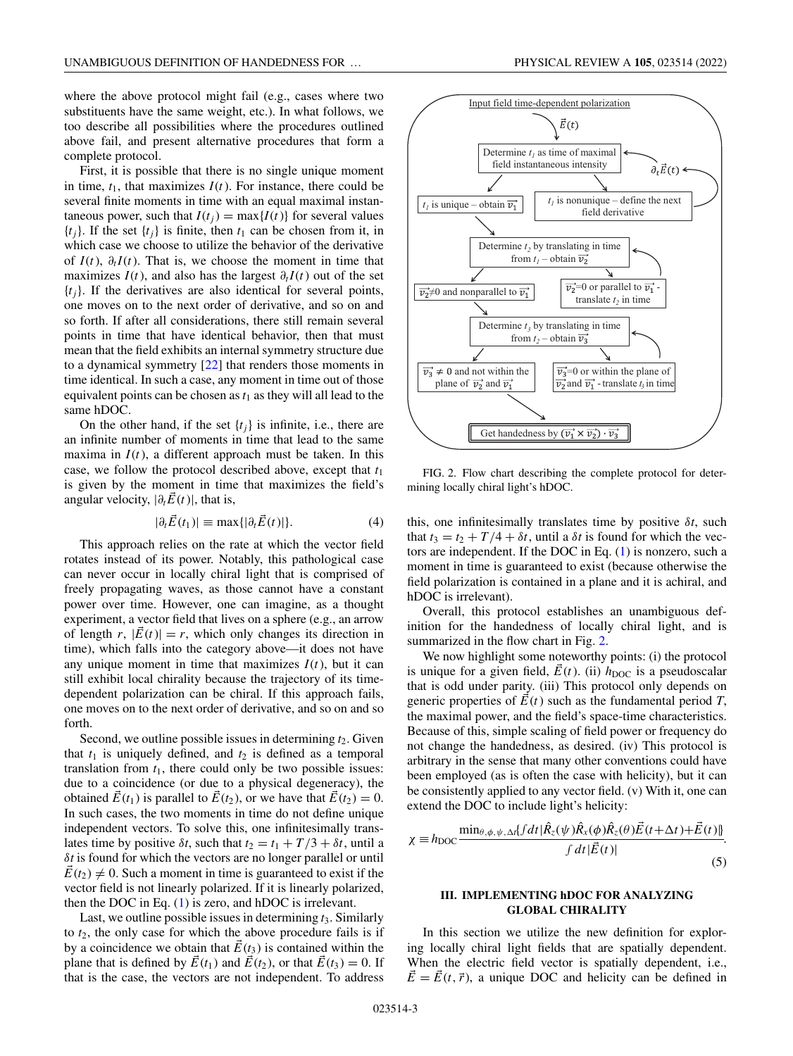where the above protocol might fail (e.g., cases where two substituents have the same weight, etc.). In what follows, we too describe all possibilities where the procedures outlined above fail, and present alternative procedures that form a complete protocol.

First, it is possible that there is no single unique moment in time,  $t_1$ , that maximizes  $I(t)$ . For instance, there could be several finite moments in time with an equal maximal instantaneous power, such that  $I(t_i) = \max\{I(t)\}\$ for several values  ${t_i}$ . If the set  ${t_i}$  is finite, then  $t_1$  can be chosen from it, in which case we choose to utilize the behavior of the derivative of  $I(t)$ ,  $\partial_t I(t)$ . That is, we choose the moment in time that maximizes  $I(t)$ , and also has the largest  $\partial_t I(t)$  out of the set  $\{t_i\}$ . If the derivatives are also identical for several points, one moves on to the next order of derivative, and so on and so forth. If after all considerations, there still remain several points in time that have identical behavior, then that must mean that the field exhibits an internal symmetry structure due to a dynamical symmetry [\[22\]](#page-5-0) that renders those moments in time identical. In such a case, any moment in time out of those equivalent points can be chosen as  $t_1$  as they will all lead to the same hDOC.

On the other hand, if the set  $\{t_i\}$  is infinite, i.e., there are an infinite number of moments in time that lead to the same maxima in  $I(t)$ , a different approach must be taken. In this case, we follow the protocol described above, except that *t*<sup>1</sup> is given by the moment in time that maximizes the field's angular velocity,  $|\partial_t \vec{E}(t)|$ , that is,

$$
|\partial_t \vec{E}(t_1)| \equiv \max\{|\partial_t \vec{E}(t)|\}.
$$
 (4)

This approach relies on the rate at which the vector field rotates instead of its power. Notably, this pathological case can never occur in locally chiral light that is comprised of freely propagating waves, as those cannot have a constant power over time. However, one can imagine, as a thought experiment, a vector field that lives on a sphere (e.g., an arrow of length  $r$ ,  $|\vec{E}(t)| = r$ , which only changes its direction in time), which falls into the category above—it does not have any unique moment in time that maximizes  $I(t)$ , but it can still exhibit local chirality because the trajectory of its timedependent polarization can be chiral. If this approach fails, one moves on to the next order of derivative, and so on and so forth.

Second, we outline possible issues in determining  $t_2$ . Given that  $t_1$  is uniquely defined, and  $t_2$  is defined as a temporal translation from  $t_1$ , there could only be two possible issues: due to a coincidence (or due to a physical degeneracy), the obtained  $\vec{E}(t_1)$  is parallel to  $\vec{E}(t_2)$ , or we have that  $\vec{E}(t_2) = 0$ . In such cases, the two moments in time do not define unique independent vectors. To solve this, one infinitesimally translates time by positive  $\delta t$ , such that  $t_2 = t_1 + T/3 + \delta t$ , until a δ*t* is found for which the vectors are no longer parallel or until  $E(t_2) \neq 0$ . Such a moment in time is guaranteed to exist if the vector field is not linearly polarized. If it is linearly polarized, then the DOC in Eq. [\(1\)](#page-0-0) is zero, and hDOC is irrelevant.

Last, we outline possible issues in determining  $t_3$ . Similarly to  $t_2$ , the only case for which the above procedure fails is if by a coincidence we obtain that  $\vec{E}(t_3)$  is contained within the plane that is defined by  $\vec{E}(t_1)$  and  $\vec{E}(t_2)$ , or that  $\vec{E}(t_3) = 0$ . If that is the case, the vectors are not independent. To address



FIG. 2. Flow chart describing the complete protocol for determining locally chiral light's hDOC.

this, one infinitesimally translates time by positive  $\delta t$ , such that  $t_3 = t_2 + T/4 + \delta t$ , until a  $\delta t$  is found for which the vectors are independent. If the DOC in Eq. [\(1\)](#page-0-0) is nonzero, such a moment in time is guaranteed to exist (because otherwise the field polarization is contained in a plane and it is achiral, and hDOC is irrelevant).

Overall, this protocol establishes an unambiguous definition for the handedness of locally chiral light, and is summarized in the flow chart in Fig. 2.

We now highlight some noteworthy points: (i) the protocol is unique for a given field,  $\vec{E}(t)$ . (ii)  $h_{\text{DOC}}$  is a pseudoscalar that is odd under parity. (iii) This protocol only depends on generic properties of  $\vec{E}(t)$  such as the fundamental period *T*, the maximal power, and the field's space-time characteristics. Because of this, simple scaling of field power or frequency do not change the handedness, as desired. (iv) This protocol is arbitrary in the sense that many other conventions could have been employed (as is often the case with helicity), but it can be consistently applied to any vector field. (v) With it, one can extend the DOC to include light's helicity:

$$
\chi \equiv h_{\text{DOC}} \frac{\min_{\theta, \phi, \psi, \Delta t} [f dt | \hat{R}_z(\psi) \hat{R}_x(\phi) \hat{R}_z(\theta) \vec{E}(t + \Delta t) + \vec{E}(t)]}{\int dt | \vec{E}(t)|}.
$$
\n(5)

## **III. IMPLEMENTING hDOC FOR ANALYZING GLOBAL CHIRALITY**

In this section we utilize the new definition for exploring locally chiral light fields that are spatially dependent. When the electric field vector is spatially dependent, i.e.,  $\vec{E} = \vec{E}(t, \vec{r})$ , a unique DOC and helicity can be defined in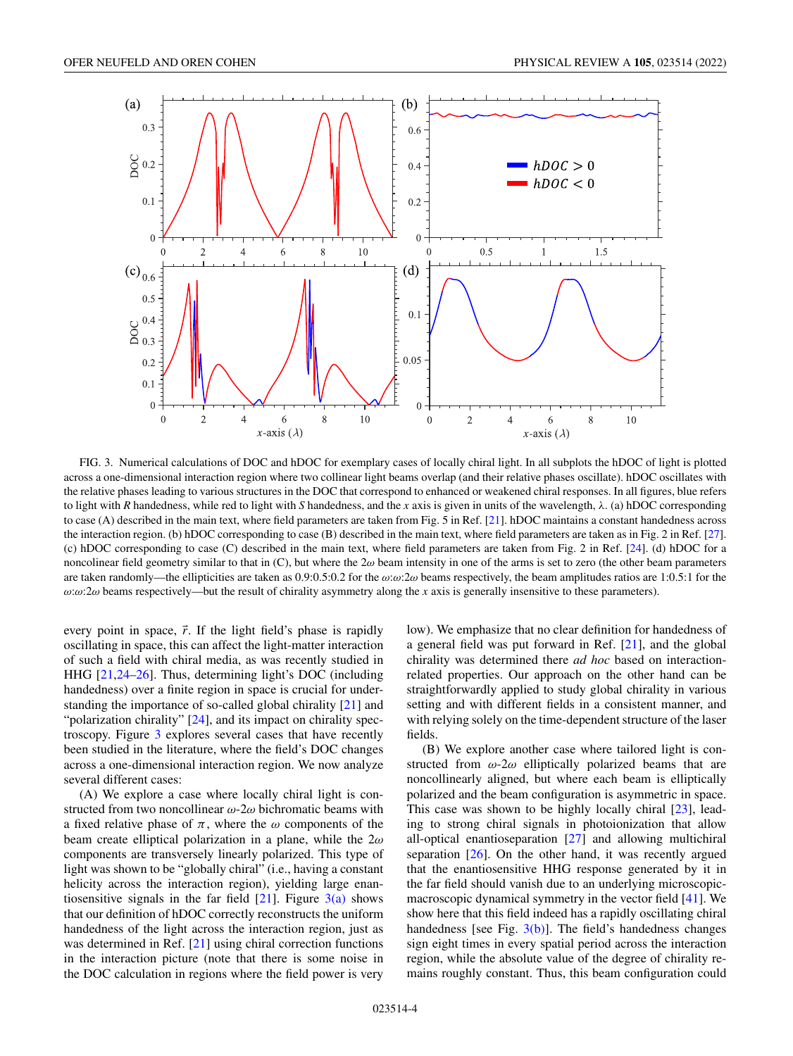<span id="page-3-0"></span>

FIG. 3. Numerical calculations of DOC and hDOC for exemplary cases of locally chiral light. In all subplots the hDOC of light is plotted across a one-dimensional interaction region where two collinear light beams overlap (and their relative phases oscillate). hDOC oscillates with the relative phases leading to various structures in the DOC that correspond to enhanced or weakened chiral responses. In all figures, blue refers to light with *R* handedness, while red to light with *S* handedness, and the *x* axis is given in units of the wavelength,  $\lambda$ . (a) hDOC corresponding to case (A) described in the main text, where field parameters are taken from Fig. 5 in Ref. [\[21\]](#page-5-0). hDOC maintains a constant handedness across the interaction region. (b) hDOC corresponding to case (B) described in the main text, where field parameters are taken as in Fig. 2 in Ref. [\[27\]](#page-5-0). (c) hDOC corresponding to case (C) described in the main text, where field parameters are taken from Fig. 2 in Ref. [\[24\]](#page-5-0). (d) hDOC for a noncolinear field geometry similar to that in  $(C)$ , but where the  $2\omega$  beam intensity in one of the arms is set to zero (the other beam parameters are taken randomly—the ellipticities are taken as  $0.9:0.5:0.2$  for the  $\omega:\omega:2\omega$  beams respectively, the beam amplitudes ratios are 1:0.5:1 for the ω:ω:2ω beams respectively—but the result of chirality asymmetry along the *x* axis is generally insensitive to these parameters).

every point in space,  $\vec{r}$ . If the light field's phase is rapidly oscillating in space, this can affect the light-matter interaction of such a field with chiral media, as was recently studied in HHG [\[21,24–26\]](#page-5-0). Thus, determining light's DOC (including handedness) over a finite region in space is crucial for understanding the importance of so-called global chirality [\[21\]](#page-5-0) and "polarization chirality" [\[24\]](#page-5-0), and its impact on chirality spectroscopy. Figure 3 explores several cases that have recently been studied in the literature, where the field's DOC changes across a one-dimensional interaction region. We now analyze several different cases:

(A) We explore a case where locally chiral light is constructed from two noncollinear  $\omega$ -2 $\omega$  bichromatic beams with a fixed relative phase of  $\pi$ , where the  $\omega$  components of the beam create elliptical polarization in a plane, while the  $2\omega$ components are transversely linearly polarized. This type of light was shown to be "globally chiral" (i.e., having a constant helicity across the interaction region), yielding large enantiosensitive signals in the far field  $[21]$ . Figure  $3(a)$  shows that our definition of hDOC correctly reconstructs the uniform handedness of the light across the interaction region, just as was determined in Ref. [\[21\]](#page-5-0) using chiral correction functions in the interaction picture (note that there is some noise in the DOC calculation in regions where the field power is very low). We emphasize that no clear definition for handedness of a general field was put forward in Ref. [\[21\]](#page-5-0), and the global chirality was determined there *ad hoc* based on interactionrelated properties. Our approach on the other hand can be straightforwardly applied to study global chirality in various setting and with different fields in a consistent manner, and with relying solely on the time-dependent structure of the laser fields.

(B) We explore another case where tailored light is constructed from  $\omega$ -2 $\omega$  elliptically polarized beams that are noncollinearly aligned, but where each beam is elliptically polarized and the beam configuration is asymmetric in space. This case was shown to be highly locally chiral [\[23\]](#page-5-0), leading to strong chiral signals in photoionization that allow all-optical enantioseparation [\[27\]](#page-5-0) and allowing multichiral separation [\[26\]](#page-5-0). On the other hand, it was recently argued that the enantiosensitive HHG response generated by it in the far field should vanish due to an underlying microscopicmacroscopic dynamical symmetry in the vector field [\[41\]](#page-5-0). We show here that this field indeed has a rapidly oscillating chiral handedness [see Fig.  $3(b)$ ]. The field's handedness changes sign eight times in every spatial period across the interaction region, while the absolute value of the degree of chirality remains roughly constant. Thus, this beam configuration could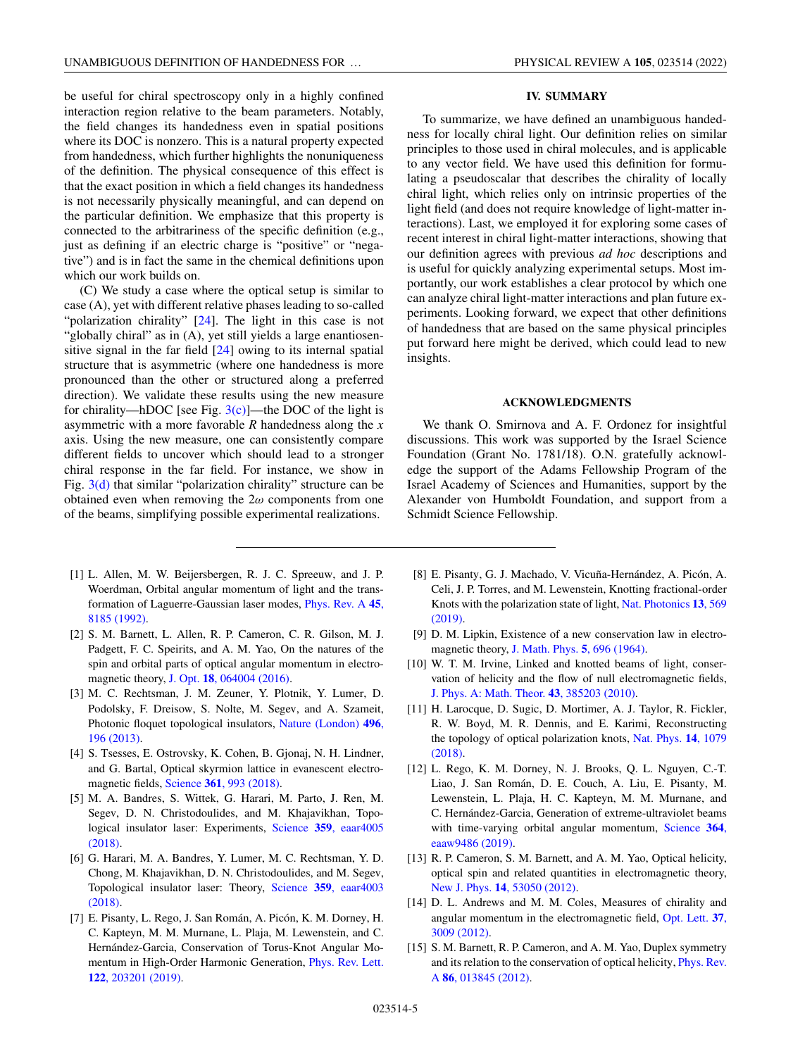<span id="page-4-0"></span>be useful for chiral spectroscopy only in a highly confined interaction region relative to the beam parameters. Notably, the field changes its handedness even in spatial positions where its DOC is nonzero. This is a natural property expected from handedness, which further highlights the nonuniqueness of the definition. The physical consequence of this effect is that the exact position in which a field changes its handedness is not necessarily physically meaningful, and can depend on the particular definition. We emphasize that this property is connected to the arbitrariness of the specific definition (e.g., just as defining if an electric charge is "positive" or "negative") and is in fact the same in the chemical definitions upon which our work builds on.

(C) We study a case where the optical setup is similar to case (A), yet with different relative phases leading to so-called "polarization chirality" [\[24\]](#page-5-0). The light in this case is not "globally chiral" as in (A), yet still yields a large enantiosensitive signal in the far field [\[24\]](#page-5-0) owing to its internal spatial structure that is asymmetric (where one handedness is more pronounced than the other or structured along a preferred direction). We validate these results using the new measure for chirality—hDOC [see Fig.  $3(c)$ ]—the DOC of the light is asymmetric with a more favorable *R* handedness along the *x* axis. Using the new measure, one can consistently compare different fields to uncover which should lead to a stronger chiral response in the far field. For instance, we show in Fig.  $3(d)$  that similar "polarization chirality" structure can be obtained even when removing the  $2\omega$  components from one of the beams, simplifying possible experimental realizations.

- [1] L. Allen, M. W. Beijersbergen, R. J. C. Spreeuw, and J. P. Woerdman, Orbital angular momentum of light and the trans[formation of Laguerre-Gaussian laser modes,](https://doi.org/10.1103/PhysRevA.45.8185) Phys. Rev. A **45**, 8185 (1992).
- [2] S. M. Barnett, L. Allen, R. P. Cameron, C. R. Gilson, M. J. Padgett, F. C. Speirits, and A. M. Yao, On the natures of the spin and orbital parts of optical angular momentum in electromagnetic theory, J. Opt. **18**[, 064004 \(2016\).](https://doi.org/10.1088/2040-8978/18/6/064004)
- [3] M. C. Rechtsman, J. M. Zeuner, Y. Plotnik, Y. Lumer, D. Podolsky, F. Dreisow, S. Nolte, M. Segev, and A. Szameit, [Photonic floquet topological insulators,](https://doi.org/10.1038/nature12066) Nature (London) **496**, 196 (2013).
- [4] S. Tsesses, E. Ostrovsky, K. Cohen, B. Gjonaj, N. H. Lindner, and G. Bartal, Optical skyrmion lattice in evanescent electromagnetic fields, Science **361**[, 993 \(2018\).](https://doi.org/10.1126/science.aau0227)
- [5] M. A. Bandres, S. Wittek, G. Harari, M. Parto, J. Ren, M. Segev, D. N. Christodoulides, and M. Khajavikhan, Topo[logical insulator laser: Experiments,](https://doi.org/10.1126/science.aar4005) Science **359**, eaar4005 (2018).
- [6] G. Harari, M. A. Bandres, Y. Lumer, M. C. Rechtsman, Y. D. Chong, M. Khajavikhan, D. N. Christodoulides, and M. Segev, [Topological insulator laser: Theory,](https://doi.org/10.1126/science.aar4003) Science **359**, eaar4003 (2018).
- [7] E. Pisanty, L. Rego, J. San Román, A. Picón, K. M. Dorney, H. C. Kapteyn, M. M. Murnane, L. Plaja, M. Lewenstein, and C. Hernández-Garcia, Conservation of Torus-Knot Angular Mo[mentum in High-Order Harmonic Generation,](https://doi.org/10.1103/PhysRevLett.122.203201) Phys. Rev. Lett. **122**, 203201 (2019).

### **IV. SUMMARY**

To summarize, we have defined an unambiguous handedness for locally chiral light. Our definition relies on similar principles to those used in chiral molecules, and is applicable to any vector field. We have used this definition for formulating a pseudoscalar that describes the chirality of locally chiral light, which relies only on intrinsic properties of the light field (and does not require knowledge of light-matter interactions). Last, we employed it for exploring some cases of recent interest in chiral light-matter interactions, showing that our definition agrees with previous *ad hoc* descriptions and is useful for quickly analyzing experimental setups. Most importantly, our work establishes a clear protocol by which one can analyze chiral light-matter interactions and plan future experiments. Looking forward, we expect that other definitions of handedness that are based on the same physical principles put forward here might be derived, which could lead to new insights.

## **ACKNOWLEDGMENTS**

We thank O. Smirnova and A. F. Ordonez for insightful discussions. This work was supported by the Israel Science Foundation (Grant No. 1781/18). O.N. gratefully acknowledge the support of the Adams Fellowship Program of the Israel Academy of Sciences and Humanities, support by the Alexander von Humboldt Foundation, and support from a Schmidt Science Fellowship.

- [8] E. Pisanty, G. J. Machado, V. Vicuña-Hernández, A. Picón, A. Celi, J. P. Torres, and M. Lewenstein, Knotting fractional-order [Knots with the polarization state of light,](https://doi.org/10.1038/s41566-019-0450-2) Nat. Photonics **13**, 569 (2019).
- [9] D. M. Lipkin, Existence of a new conservation law in electromagnetic theory, [J. Math. Phys.](https://doi.org/10.1063/1.1704165) **5**, 696 (1964).
- [10] W. T. M. Irvine, Linked and knotted beams of light, conservation of helicity and the flow of null electromagnetic fields, [J. Phys. A: Math. Theor.](https://doi.org/10.1088/1751-8113/43/38/385203) **43**, 385203 (2010).
- [11] H. Larocque, D. Sugic, D. Mortimer, A. J. Taylor, R. Fickler, R. W. Boyd, M. R. Dennis, and E. Karimi, Reconstructing [the topology of optical polarization knots,](https://doi.org/10.1038/s41567-018-0229-2) Nat. Phys. **14**, 1079 (2018).
- [12] L. Rego, K. M. Dorney, N. J. Brooks, Q. L. Nguyen, C.-T. Liao, J. San Román, D. E. Couch, A. Liu, E. Pisanty, M. Lewenstein, L. Plaja, H. C. Kapteyn, M. M. Murnane, and C. Hernández-Garcia, Generation of extreme-ultraviolet beams [with time-varying orbital angular momentum,](https://doi.org/10.1126/science.aaw9486) Science **364**, eaaw9486 (2019).
- [13] R. P. Cameron, S. M. Barnett, and A. M. Yao, Optical helicity, optical spin and related quantities in electromagnetic theory, New J. Phys. **14**[, 53050 \(2012\).](https://doi.org/10.1088/1367-2630/14/5/053050)
- [14] D. L. Andrews and M. M. Coles, Measures of chirality and [angular momentum in the electromagnetic field,](https://doi.org/10.1364/OL.37.003009) Opt. Lett. **37**, 3009 (2012).
- [15] S. M. Barnett, R. P. Cameron, and A. M. Yao, Duplex symmetry [and its relation to the conservation of optical helicity,](https://doi.org/10.1103/PhysRevA.86.013845) Phys. Rev. A **86**, 013845 (2012).